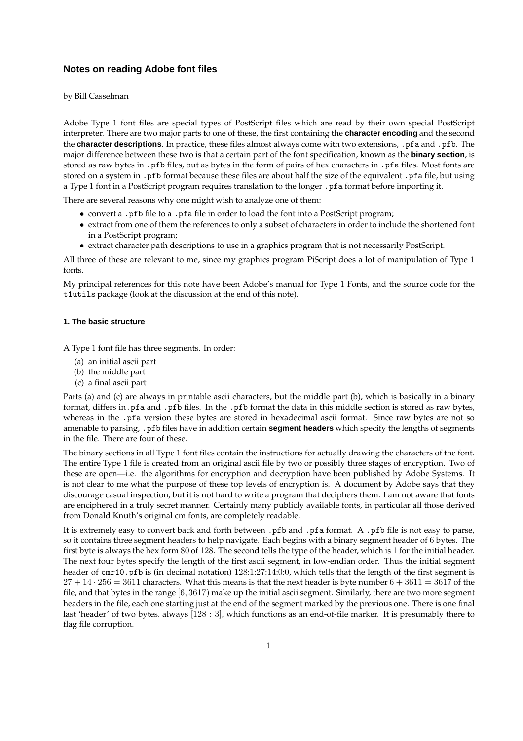# **Notes on reading Adobe font files**

by Bill Casselman

Adobe Type 1 font files are special types of PostScript files which are read by their own special PostScript interpreter. There are two major parts to one of these, the first containing the **character encoding** and the second the **character descriptions**. In practice, these files almost always come with two extensions, .pfa and .pfb. The major difference between these two is that a certain part of the font specification, known as the **binary section**, is stored as raw bytes in .pfb files, but as bytes in the form of pairs of hex characters in .pfa files. Most fonts are stored on a system in .pfb format because these files are about half the size of the equivalent .pfa file, but using a Type 1 font in a PostScript program requires translation to the longer . pfa format before importing it.

There are several reasons why one might wish to analyze one of them:

- convert a .pfb file to a .pfa file in order to load the font into a PostScript program;
- extract from one of them the references to only a subset of characters in order to include the shortened font in a PostScript program;
- extract character path descriptions to use in a graphics program that is not necessarily PostScript.

All three of these are relevant to me, since my graphics program PiScript does a lot of manipulation of Type 1 fonts.

My principal references for this note have been Adobe's manual for Type 1 Fonts, and the source code for the t1utils package (look at the discussion at the end of this note).

# **1. The basic structure**

A Type 1 font file has three segments. In order:

- (a) an initial ascii part
- (b) the middle part
- (c) a final ascii part

Parts (a) and (c) are always in printable ascii characters, but the middle part (b), which is basically in a binary format, differs in.pfa and .pfb files. In the .pfb format the data in this middle section is stored as raw bytes, whereas in the .pfa version these bytes are stored in hexadecimal ascii format. Since raw bytes are not so amenable to parsing, .pfb files have in addition certain **segment headers** which specify the lengths of segments in the file. There are four of these.

The binary sections in all Type 1 font files contain the instructions for actually drawing the characters of the font. The entire Type 1 file is created from an original ascii file by two or possibly three stages of encryption. Two of these are open—i.e. the algorithms for encryption and decryption have been published by Adobe Systems. It is not clear to me what the purpose of these top levels of encryption is. A document by Adobe says that they discourage casual inspection, but it is not hard to write a program that deciphers them. I am not aware that fonts are enciphered in a truly secret manner. Certainly many publicly available fonts, in particular all those derived from Donald Knuth's original cm fonts, are completely readable.

It is extremely easy to convert back and forth between .pfb and .pfa format. A .pfb file is not easy to parse, so it contains three segment headers to help navigate. Each begins with a binary segment header of 6 bytes. The first byte is always the hex form 80 of 128. The second tells the type of the header, which is 1 for the initial header. The next four bytes specify the length of the first ascii segment, in low-endian order. Thus the initial segment header of cmr10.pfb is (in decimal notation)  $128:1:27:14:0:0$ , which tells that the length of the first segment is  $27 + 14 \cdot 256 = 3611$  characters. What this means is that the next header is byte number  $6 + 3611 = 3617$  of the file, and that bytes in the range [6, 3617) make up the initial ascii segment. Similarly, there are two more segment headers in the file, each one starting just at the end of the segment marked by the previous one. There is one final last 'header' of two bytes, always [128 : 3], which functions as an end-of-file marker. It is presumably there to flag file corruption.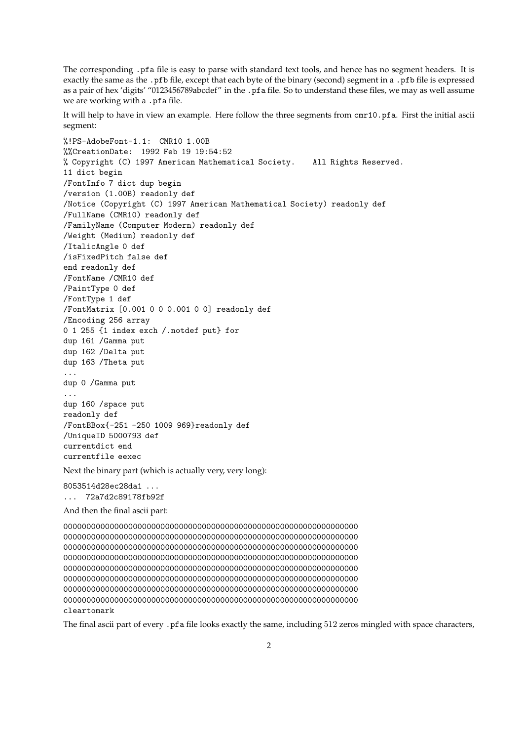The corresponding .pfa file is easy to parse with standard text tools, and hence has no segment headers. It is exactly the same as the .pfb file, except that each byte of the binary (second) segment in a .pfb file is expressed as a pair of hex 'digits' "0123456789abcdef" in the .pfa file. So to understand these files, we may as well assume we are working with a .pfa file.

It will help to have in view an example. Here follow the three segments from cmr10.pfa. First the initial ascii segment:

%!PS-AdobeFont-1.1: CMR10 1.00B %%CreationDate: 1992 Feb 19 19:54:52 % Copyright (C) 1997 American Mathematical Society. All Rights Reserved. 11 dict begin /FontInfo 7 dict dup begin /version (1.00B) readonly def /Notice (Copyright (C) 1997 American Mathematical Society) readonly def /FullName (CMR10) readonly def /FamilyName (Computer Modern) readonly def /Weight (Medium) readonly def /ItalicAngle 0 def /isFixedPitch false def end readonly def /FontName /CMR10 def /PaintType 0 def /FontType 1 def /FontMatrix [0.001 0 0 0.001 0 0] readonly def /Encoding 256 array 0 1 255 {1 index exch /.notdef put} for dup 161 /Gamma put dup 162 /Delta put dup 163 /Theta put ... dup 0 /Gamma put ... dup 160 /space put readonly def /FontBBox{-251 -250 1009 969}readonly def /UniqueID 5000793 def currentdict end currentfile eexec

Next the binary part (which is actually very, very long):

8053514d28ec28da1 ... ... 72a7d2c89178fb92f

And then the final ascii part:

0000000000000000000000000000000000000000000000000000000000000000 0000000000000000000000000000000000000000000000000000000000000000 0000000000000000000000000000000000000000000000000000000000000000 0000000000000000000000000000000000000000000000000000000000000000 0000000000000000000000000000000000000000000000000000000000000000 0000000000000000000000000000000000000000000000000000000000000000 0000000000000000000000000000000000000000000000000000000000000000 0000000000000000000000000000000000000000000000000000000000000000 cleartomark

The final ascii part of every .pfa file looks exactly the same, including 512 zeros mingled with space characters,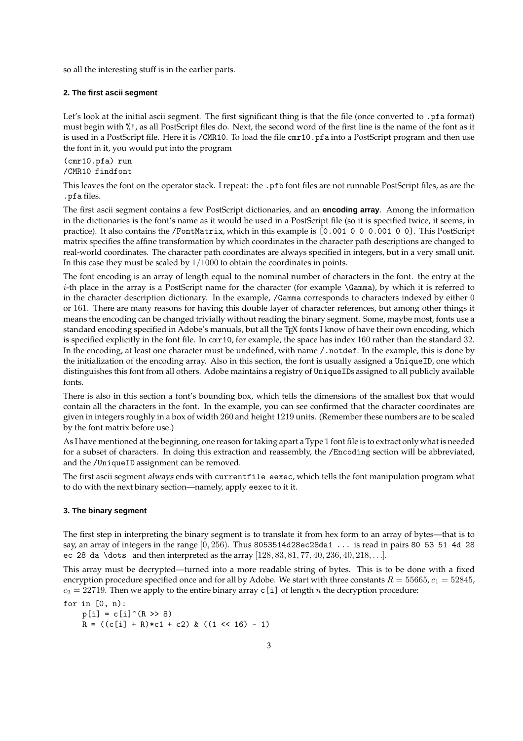so all the interesting stuff is in the earlier parts.

# **2. The first ascii segment**

Let's look at the initial ascii segment. The first significant thing is that the file (once converted to .pfa format) must begin with %!, as all PostScript files do. Next, the second word of the first line is the name of the font as it is used in a PostScript file. Here it is /CMR10. To load the file cmr10.pfa into a PostScript program and then use the font in it, you would put into the program

(cmr10.pfa) run /CMR10 findfont

This leaves the font on the operator stack. I repeat: the .pfb font files are not runnable PostScript files, as are the .pfa files.

The first ascii segment contains a few PostScript dictionaries, and an **encoding array**. Among the information in the dictionaries is the font's name as it would be used in a PostScript file (so it is specified twice, it seems, in practice). It also contains the /FontMatrix, which in this example is [0.001 0 0 0.001 0 0]. This PostScript matrix specifies the affine transformation by which coordinates in the character path descriptions are changed to real-world coordinates. The character path coordinates are always specified in integers, but in a very small unit. In this case they must be scaled by  $1/1000$  to obtain the coordinates in points.

The font encoding is an array of length equal to the nominal number of characters in the font. the entry at the i-th place in the array is a PostScript name for the character (for example \Gamma), by which it is referred to in the character description dictionary. In the example, /Gamma corresponds to characters indexed by either 0 or 161. There are many reasons for having this double layer of character references, but among other things it means the encoding can be changed trivially without reading the binary segment. Some, maybe most, fonts use a standard encoding specified in Adobe's manuals, but all the TEX fonts I know of have their own encoding, which is specified explicitly in the font file. In cmr10, for example, the space has index 160 rather than the standard 32. In the encoding, at least one character must be undefined, with name /.notdef. In the example, this is done by the initialization of the encoding array. Also in this section, the font is usually assigned a UniqueID, one which distinguishes this font from all others. Adobe maintains a registry of UniqueIDs assigned to all publicly available fonts.

There is also in this section a font's bounding box, which tells the dimensions of the smallest box that would contain all the characters in the font. In the example, you can see confirmed that the character coordinates are given in integers roughly in a box of width 260 and height 1219 units. (Remember these numbers are to be scaled by the font matrix before use.)

As I have mentioned at the beginning, one reason for taking apart a Type 1 font file is to extract only what is needed for a subset of characters. In doing this extraction and reassembly, the /Encoding section will be abbreviated, and the /UniqueID assignment can be removed.

The first ascii segment always ends with currentfile eexec, which tells the font manipulation program what to do with the next binary section—namely, apply eexec to it it.

#### **3. The binary segment**

The first step in interpreting the binary segment is to translate it from hex form to an array of bytes—that is to say, an array of integers in the range  $[0, 256)$ . Thus 8053514d28ec28da1 ... is read in pairs 80 53 51 4d 28 ec 28 da \dots and then interpreted as the array  $[128, 83, 81, 77, 40, 236, 40, 218, \ldots]$ .

This array must be decrypted—turned into a more readable string of bytes. This is to be done with a fixed encryption procedure specified once and for all by Adobe. We start with three constants  $R = 55665$ ,  $c_1 = 52845$ ,  $c_2 = 22719$ . Then we apply to the entire binary array c[i] of length n the decryption procedure:

for in  $[0, n)$ :

 $p[i] = c[i]^{(R > > 8)}$  $R = ((c[i] + R)*c1 + c2) & ((1 \leq 16) - 1)$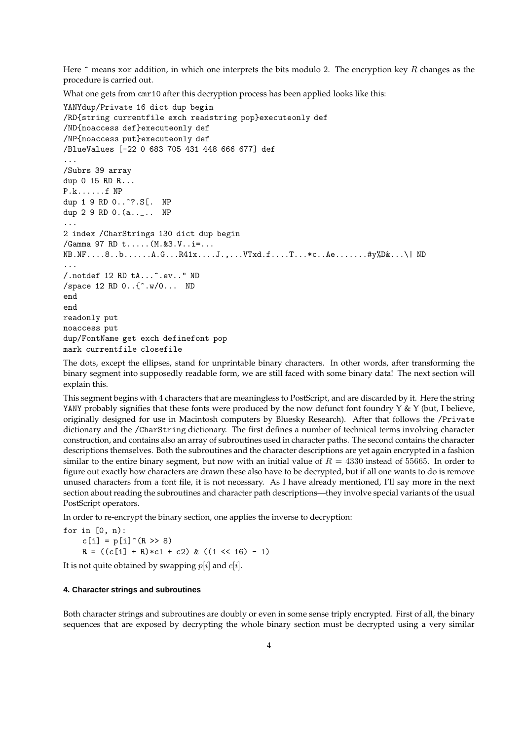Here  $\hat{ }$  means xor addition, in which one interprets the bits modulo 2. The encryption key R changes as the procedure is carried out.

What one gets from cmr10 after this decryption process has been applied looks like this:

```
YANYdup/Private 16 dict dup begin
/RD{string currentfile exch readstring pop}executeonly def
/ND{noaccess def}executeonly def
/NP{noaccess put}executeonly def
/BlueValues [-22 0 683 705 431 448 666 677] def
...
/Subrs 39 array
dup 0 15 RD R...
P.k......f NP
dup 1 9 RD 0..^?.S[. NP
dup 2 9 RD 0.(a.._.. NP
...
2 index /CharStrings 130 dict dup begin
/Gamma 97 RD t.....(M.&3.V..i=...
NB.NF....8..b......A.G...R41x....J.,...VTxd.f....T...*c..Ae.......#y%D&...\| ND
...
/.notdef 12 RD tA...^.ev.." ND
/space 12 RD 0..{^.w/0... ND
end
end
readonly put
noaccess put
dup/FontName get exch definefont pop
mark currentfile closefile
```
The dots, except the ellipses, stand for unprintable binary characters. In other words, after transforming the binary segment into supposedly readable form, we are still faced with some binary data! The next section will explain this.

This segment begins with 4 characters that are meaningless to PostScript, and are discarded by it. Here the string YANY probably signifies that these fonts were produced by the now defunct font foundry  $Y \& Y$  (but, I believe, originally designed for use in Macintosh computers by Bluesky Research). After that follows the /Private dictionary and the /CharString dictionary. The first defines a number of technical terms involving character construction, and contains also an array of subroutines used in character paths. The second contains the character descriptions themselves. Both the subroutines and the character descriptions are yet again encrypted in a fashion similar to the entire binary segment, but now with an initial value of  $R = 4330$  instead of 55665. In order to figure out exactly how characters are drawn these also have to be decrypted, but if all one wants to do is remove unused characters from a font file, it is not necessary. As I have already mentioned, I'll say more in the next section about reading the subroutines and character path descriptions—they involve special variants of the usual PostScript operators.

In order to re-encrypt the binary section, one applies the inverse to decryption:

for in [0, n):  $c[i] = p[i]^{(R > > 8)}$  $R = ((c[i] + R) * c1 + c2) & ((1 \leq 16) - 1)$ 

It is not quite obtained by swapping  $p[i]$  and  $c[i]$ .

## **4. Character strings and subroutines**

Both character strings and subroutines are doubly or even in some sense triply encrypted. First of all, the binary sequences that are exposed by decrypting the whole binary section must be decrypted using a very similar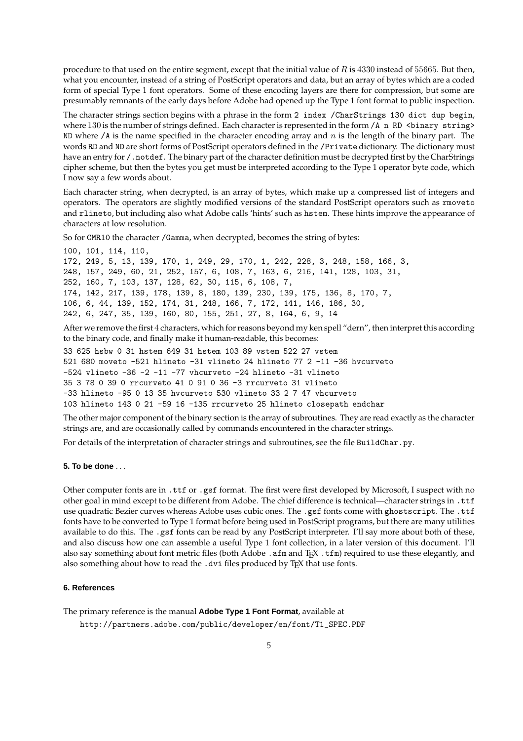procedure to that used on the entire segment, except that the initial value of  $R$  is 4330 instead of 55665. But then, what you encounter, instead of a string of PostScript operators and data, but an array of bytes which are a coded form of special Type 1 font operators. Some of these encoding layers are there for compression, but some are presumably remnants of the early days before Adobe had opened up the Type 1 font format to public inspection.

The character strings section begins with a phrase in the form 2 index /CharStrings 130 dict dup begin, where 130 is the number of strings defined. Each character is represented in the form  $/A$  n RD <br/>string> ND where  $\ell$  as the name specified in the character encoding array and n is the length of the binary part. The words RD and ND are short forms of PostScript operators defined in the /Private dictionary. The dictionary must have an entry for / .notdef. The binary part of the character definition must be decrypted first by the CharStrings cipher scheme, but then the bytes you get must be interpreted according to the Type 1 operator byte code, which I now say a few words about.

Each character string, when decrypted, is an array of bytes, which make up a compressed list of integers and operators. The operators are slightly modified versions of the standard PostScript operators such as rmoveto and rlineto, but including also what Adobe calls 'hints' such as hstem. These hints improve the appearance of characters at low resolution.

So for CMR10 the character /Gamma, when decrypted, becomes the string of bytes:

```
100, 101, 114, 110,
172, 249, 5, 13, 139, 170, 1, 249, 29, 170, 1, 242, 228, 3, 248, 158, 166, 3,
248, 157, 249, 60, 21, 252, 157, 6, 108, 7, 163, 6, 216, 141, 128, 103, 31,
252, 160, 7, 103, 137, 128, 62, 30, 115, 6, 108, 7,
174, 142, 217, 139, 178, 139, 8, 180, 139, 230, 139, 175, 136, 8, 170, 7,
106, 6, 44, 139, 152, 174, 31, 248, 166, 7, 172, 141, 146, 186, 30,
242, 6, 247, 35, 139, 160, 80, 155, 251, 27, 8, 164, 6, 9, 14
```
After we remove the first 4 characters, which for reasons beyond my ken spell "dern", then interpret this according to the binary code, and finally make it human-readable, this becomes:

33 625 hsbw 0 31 hstem 649 31 hstem 103 89 vstem 522 27 vstem 521 680 moveto -521 hlineto -31 vlineto 24 hlineto 77 2 -11 -36 hvcurveto  $-524$  vlineto  $-36$   $-2$   $-11$   $-77$  vhcurveto  $-24$  hlineto  $-31$  vlineto 35 3 78 0 39 0 rrcurveto 41 0 91 0 36 -3 rrcurveto 31 vlineto -33 hlineto -95 0 13 35 hvcurveto 530 vlineto 33 2 7 47 vhcurveto 103 hlineto 143 0 21 -59 16 -135 rrcurveto 25 hlineto closepath endchar

The other major component of the binary section is the array of subroutines. They are read exactly as the character strings are, and are occasionally called by commands encountered in the character strings.

For details of the interpretation of character strings and subroutines, see the file BuildChar.py.

## **5. To be done** . . .

Other computer fonts are in .ttf or .gsf format. The first were first developed by Microsoft, I suspect with no other goal in mind except to be different from Adobe. The chief difference is technical—character strings in .ttf use quadratic Bezier curves whereas Adobe uses cubic ones. The .gsf fonts come with ghostscript. The .ttf fonts have to be converted to Type 1 format before being used in PostScript programs, but there are many utilities available to do this. The .gsf fonts can be read by any PostScript interpreter. I'll say more about both of these, and also discuss how one can assemble a useful Type 1 font collection, in a later version of this document. I'll also say something about font metric files (both Adobe . afm and TEX . tfm) required to use these elegantly, and also something about how to read the .dvi files produced by TEX that use fonts.

# **6. References**

The primary reference is the manual **Adobe Type 1 Font Format**, available at

http://partners.adobe.com/public/developer/en/font/T1\_SPEC.PDF